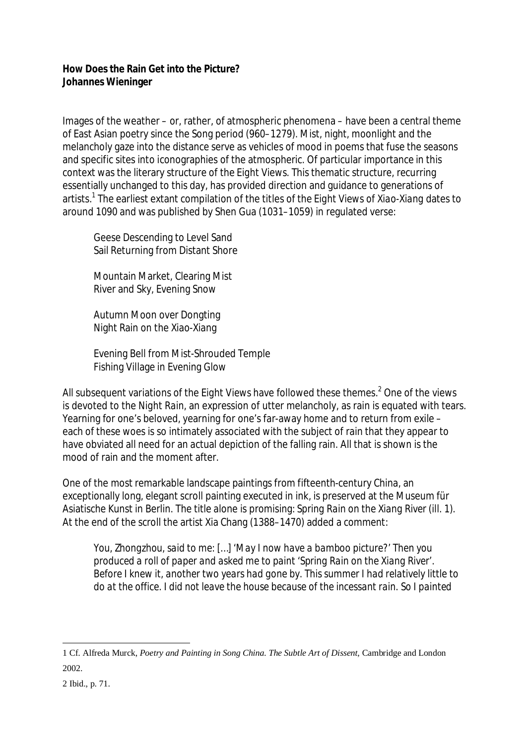## **How Does the Rain Get into the Picture? Johannes Wieninger**

Images of the weather – or, rather, of atmospheric phenomena – have been a central theme of East Asian poetry since the Song period (960–1279). Mist, night, moonlight and the melancholy gaze into the distance serve as vehicles of mood in poems that fuse the seasons and specific sites into iconographies of the atmospheric. Of particular importance in this context was the literary structure of the *Eight Views*. This thematic structure, recurring essentially unchanged to this day, has provided direction and guidance to generations of artists. 1 The earliest extant compilation of the titles of the *Eight Views of Xiao-Xiang* dates to around 1090 and was published by Shen Gua (1031–1059) in regulated verse:

Geese Descending to Level Sand Sail Returning from Distant Shore

Mountain Market, Clearing Mist River and Sky, Evening Snow

Autumn Moon over Dongting Night Rain on the Xiao-Xiang

Evening Bell from Mist-Shrouded Temple Fishing Village in Evening Glow

All subsequent variations of the *Eight Views* have followed these themes.<sup>2</sup> One of the views is devoted to the *Night Rain*, an expression of utter melancholy, as rain is equated with tears. Yearning for one's beloved, yearning for one's far-away home and to return from exile – each of these woes is so intimately associated with the subject of rain that they appear to have obviated all need for an actual depiction of the falling rain. All that is shown is the mood of rain and the moment after.

One of the most remarkable landscape paintings from fifteenth-century China, an exceptionally long, elegant scroll painting executed in ink, is preserved at the Museum für Asiatische Kunst in Berlin. The title alone is promising: *Spring Rain on the Xiang River* (ill. 1). At the end of the scroll the artist Xia Chang (1388–1470) added a comment:

*You, Zhongzhou, said to me: […] 'May I now have a bamboo picture?' Then you produced a roll of paper and asked me to paint 'Spring Rain on the Xiang River'. Before I knew it, another two years had gone by. This summer I had relatively little to do at the office. I did not leave the house because of the incessant rain. So I painted* 

 $\overline{a}$ 

<sup>1</sup> Cf. Alfreda Murck, *Poetry and Painting in Song China. The Subtle Art of Dissent*, Cambridge and London 2002.

<sup>2</sup> Ibid., p. 71.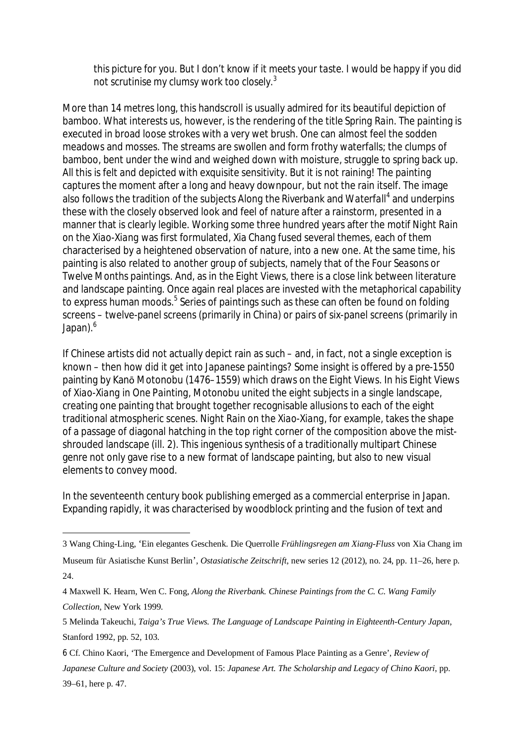*this picture for you. But I don't know if it meets your taste. I would be happy if you did not scrutinise my clumsy work too closely.<sup>3</sup>*

More than 14 metres long, this handscroll is usually admired for its beautiful depiction of bamboo. What interests us, however, is the rendering of the title *Spring Rain*. The painting is executed in broad loose strokes with a very wet brush. One can almost feel the sodden meadows and mosses. The streams are swollen and form frothy waterfalls; the clumps of bamboo, bent under the wind and weighed down with moisture, struggle to spring back up. All this is felt and depicted with exquisite sensitivity. But it is not raining! The painting captures the moment after a long and heavy downpour, but not the rain itself. The image also follows the tradition of the subjects *Along the Riverbank* and *Waterfall<sup>4</sup>* and underpins these with the closely observed look and feel of nature *after* a rainstorm, presented in a manner that is clearly legible. Working some three hundred years after the motif *Night Rain on the Xiao-Xiang* was first formulated, Xia Chang fused several themes, each of them characterised by a heightened observation of nature, into a new one. At the same time, his painting is also related to another group of subjects, namely that of the *Four Seasons* or *Twelve Months* paintings. And, as in the *Eight Views*, there is a close link between literature and landscape painting. Once again real places are invested with the metaphorical capability to express human moods.<sup>5</sup> Series of paintings such as these can often be found on folding screens – twelve-panel screens (primarily in China) or pairs of six-panel screens (primarily in Japan). $6$ 

If Chinese artists did not actually depict rain as such – and, in fact, not a single exception is known – then how did it get into Japanese paintings? Some insight is offered by a pre-1550 painting by Kanō Motonobu (1476–1559) which draws on the *Eight Views*. In his *Eight Views of Xiao-Xiang in One Painting*, Motonobu united the eight subjects in a single landscape, creating *one* painting that brought together recognisable allusions to each of the eight traditional atmospheric scenes. *Night Rain on the Xiao-Xiang*, for example, takes the shape of a passage of diagonal hatching in the top right corner of the composition above the mistshrouded landscape (ill. 2). This ingenious synthesis of a traditionally multipart Chinese genre not only gave rise to a new format of landscape painting, but also to new visual elements to convey mood.

In the seventeenth century book publishing emerged as a commercial enterprise in Japan. Expanding rapidly, it was characterised by woodblock printing and the fusion of text and

 $\overline{a}$ 

6 Cf. Chino Kaori, 'The Emergence and Development of Famous Place Painting as a Genre', *Review of* 

<sup>3</sup> Wang Ching-Ling, 'Ein elegantes Geschenk. Die Querrolle *Frühlingsregen am Xiang-Fluss* von Xia Chang im

Museum für Asiatische Kunst Berlin'*, Ostasiatische Zeitschrift*, new series 12 (2012), no. 24, pp. 11–26, here p. 24.

<sup>4</sup> Maxwell K. Hearn, Wen C. Fong, *Along the Riverbank. Chinese Paintings from the C. C. Wang Family Collection*, New York 1999.

<sup>5</sup> Melinda Takeuchi, *Taiga's True Views. The Language of Landscape Painting in Eighteenth-Century Japan*, Stanford 1992, pp. 52, 103.

*Japanese Culture and Society* (2003), vol. 15: *Japanese Art. The Scholarship and Legacy of Chino Kaori*, pp. 39–61, here p. 47.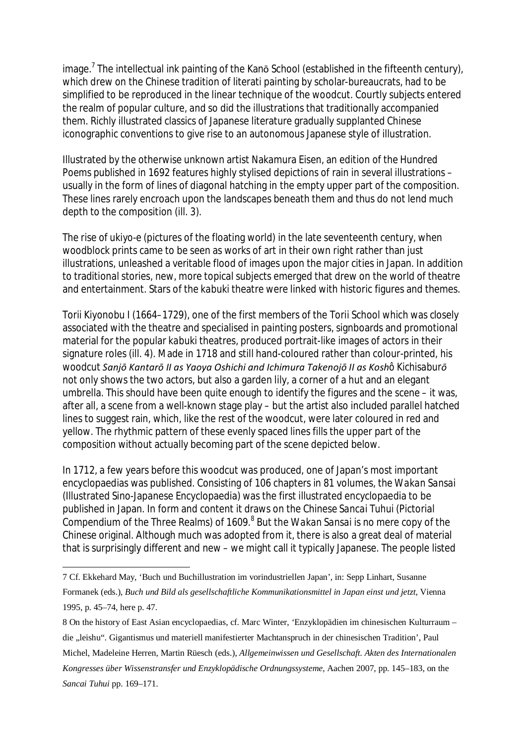image.<sup>7</sup> The intellectual ink painting of the Kanō School (established in the fifteenth century), which drew on the Chinese tradition of literati painting by scholar-bureaucrats, had to be simplified to be reproduced in the linear technique of the woodcut. Courtly subjects entered the realm of popular culture, and so did the illustrations that traditionally accompanied them. Richly illustrated classics of Japanese literature gradually supplanted Chinese iconographic conventions to give rise to an autonomous Japanese style of illustration.

Illustrated by the otherwise unknown artist Nakamura Eisen, an edition of the *Hundred Poems* published in 1692 features highly stylised depictions of rain in several illustrations – usually in the form of lines of diagonal hatching in the empty upper part of the composition. These lines rarely encroach upon the landscapes beneath them and thus do not lend much depth to the composition (ill. 3).

The rise of *ukiyo-e* (pictures of the floating world) in the late seventeenth century, when woodblock prints came to be seen as works of art in their own right rather than just illustrations, unleashed a veritable flood of images upon the major cities in Japan. In addition to traditional stories, new, more topical subjects emerged that drew on the world of theatre and entertainment. Stars of the *kabuki* theatre were linked with historic figures and themes.

Torii Kiyonobu I (1664–1729), one of the first members of the Torii School which was closely associated with the theatre and specialised in painting posters, signboards and promotional material for the popular *kabuki* theatres, produced portrait-like images of actors in their signature roles (ill. 4). Made in 1718 and still hand-coloured rather than colour-printed, his woodcut *Sanjō Kantarō II as Yaoya Oshichi and Ichimura Takenojō II as Koshô Kichisaburō* not only shows the two actors, but also a garden lily, a corner of a hut and an elegant umbrella. This should have been quite enough to identify the figures and the scene – it was, after all, a scene from a well-known stage play – but the artist also included parallel hatched lines to suggest rain, which, like the rest of the woodcut, were later coloured in red and yellow. The rhythmic pattern of these evenly spaced lines fills the upper part of the composition without actually becoming part of the scene depicted below.

In 1712, a few years before this woodcut was produced, one of Japan's most important encyclopaedias was published. Consisting of 106 chapters in 81 volumes, the *Wakan Sansai* (Illustrated Sino-Japanese Encyclopaedia) was the first illustrated encyclopaedia to be published in Japan. In form and content it draws on the Chinese *Sancai Tuhui* (Pictorial Compendium of the Three Realms) of 1609.<sup>8</sup> But the *Wakan Sansai* is no mere copy of the Chinese original. Although much was adopted from it, there is also a great deal of material that is surprisingly different and new – we might call it typically Japanese. The people listed

 $\overline{a}$ 7 Cf. Ekkehard May, 'Buch und Buchillustration im vorindustriellen Japan', in: Sepp Linhart, Susanne Formanek (eds.), *Buch und Bild als gesellschaftliche Kommunikationsmittel in Japan einst und jetzt*, Vienna 1995, p. 45–74, here p. 47.

<sup>8</sup> On the history of East Asian encyclopaedias, cf. Marc Winter, 'Enzyklopädien im chinesischen Kulturraum – die "leishu". Gigantismus und materiell manifestierter Machtanspruch in der chinesischen Tradition', Paul Michel, Madeleine Herren, Martin Rüesch (eds.), *Allgemeinwissen und Gesellschaft. Akten des Internationalen Kongresses über Wissenstransfer und Enzyklopädische Ordnungssysteme*, Aachen 2007, pp. 145–183, on the *Sancai Tuhui* pp. 169–171.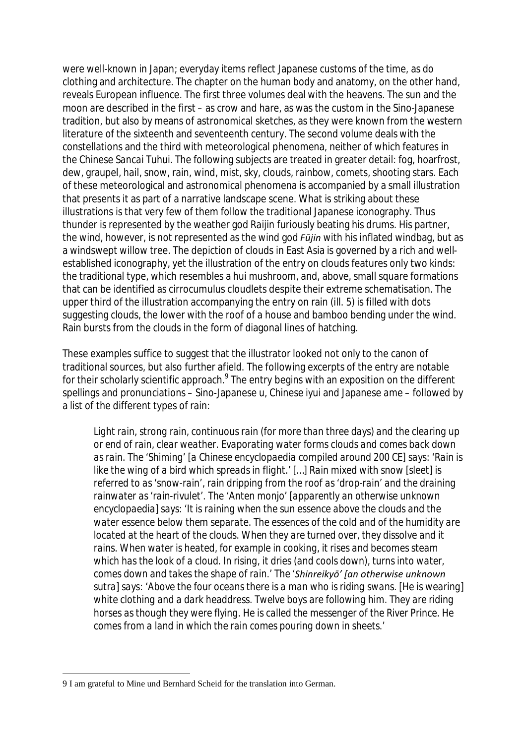were well-known in Japan; everyday items reflect Japanese customs of the time, as do clothing and architecture. The chapter on the human body and anatomy, on the other hand, reveals European influence. The first three volumes deal with the heavens. The sun and the moon are described in the first – as crow and hare, as was the custom in the Sino-Japanese tradition, but also by means of astronomical sketches, as they were known from the western literature of the sixteenth and seventeenth century. The second volume deals with the constellations and the third with meteorological phenomena, neither of which features in the Chinese *Sancai Tuhui*. The following subjects are treated in greater detail: fog, hoarfrost, dew, graupel, hail, snow, rain, wind, mist, sky, clouds, rainbow, comets, shooting stars. Each of these meteorological and astronomical phenomena is accompanied by a small illustration that presents it as part of a narrative landscape scene. What is striking about these illustrations is that very few of them follow the traditional Japanese iconography. Thus thunder is represented by the weather god *Raijin* furiously beating his drums. His partner, the wind, however, is not represented as the wind god *Fūjin* with his inflated windbag, but as a windswept willow tree. The depiction of clouds in East Asia is governed by a rich and wellestablished iconography, yet the illustration of the entry on clouds features only two kinds: the traditional type, which resembles a *hui* mushroom, and, above, small square formations that can be identified as cirrocumulus cloudlets despite their extreme schematisation. The upper third of the illustration accompanying the entry on rain (ill. 5) is filled with dots suggesting clouds, the lower with the roof of a house and bamboo bending under the wind. Rain bursts from the clouds in the form of diagonal lines of hatching.

These examples suffice to suggest that the illustrator looked not only to the canon of traditional sources, but also further afield. The following excerpts of the entry are notable for their scholarly scientific approach. $^9$  The entry begins with an exposition on the different spellings and pronunciations – Sino-Japanese *u*, Chinese *iyui* and Japanese *ame* – followed by a list of the different types of rain:

*Light rain, strong rain, continuous rain (for more than three days) and the clearing up or end of rain, clear weather. Evaporating water forms clouds and comes back down as rain. The 'Shiming' [a Chinese encyclopaedia compiled around 200 CE] says: 'Rain is like the wing of a bird which spreads in flight.' […] Rain mixed with snow [sleet] is referred to as 'snow-rain', rain dripping from the roof as 'drop-rain' and the draining rainwater as 'rain-rivulet'. The 'Anten monjo' [apparently an otherwise unknown encyclopaedia] says: 'It is raining when the sun essence above the clouds and the water essence below them separate. The essences of the cold and of the humidity are located at the heart of the clouds. When they are turned over, they dissolve and it rains. When water is heated, for example in cooking, it rises and becomes steam which has the look of a cloud. In rising, it dries (and cools down), turns into water, comes down and takes the shape of rain.' The 'Shinreikyō' [an otherwise unknown sutra] says: 'Above the four oceans there is a man who is riding swans. [He is wearing]*  white clothing and a dark headdress. Twelve boys are following him. They are riding *horses as though they were flying. He is called the messenger of the River Prince. He comes from a land in which the rain comes pouring down in sheets.'*

 $\overline{a}$ 9 I am grateful to Mine und Bernhard Scheid for the translation into German.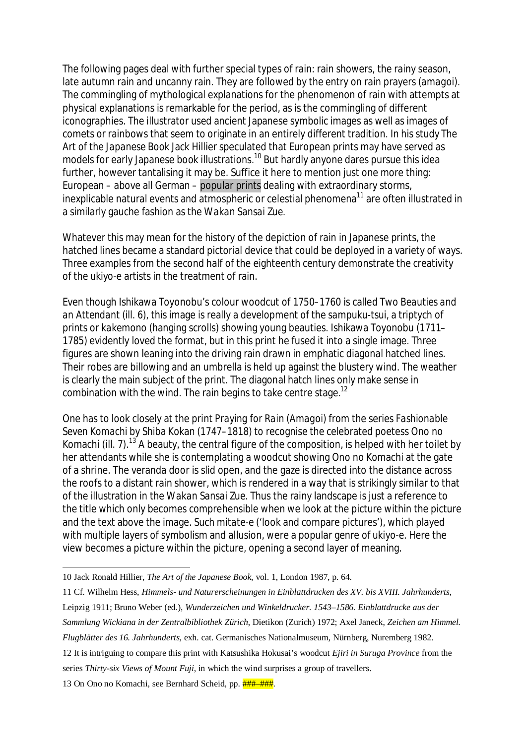The following pages deal with further special types of rain: rain showers, the rainy season, late autumn rain and uncanny rain. They are followed by the entry on rain prayers (*amagoi*). The commingling of mythological explanations for the phenomenon of rain with attempts at physical explanations is remarkable for the period, as is the commingling of different iconographies. The illustrator used ancient Japanese symbolic images as well as images of comets or rainbows that seem to originate in an entirely different tradition. In his study *The Art of the Japanese Book* Jack Hillier speculated that European prints may have served as models for early Japanese book illustrations.<sup>10</sup> But hardly anyone dares pursue this idea further, however tantalising it may be. Suffice it here to mention just one more thing: European – above all German – popular prints dealing with extraordinary storms, inexplicable natural events and atmospheric or celestial phenomena<sup>11</sup> are often illustrated in a similarly gauche fashion as the *Wakan Sansai Zue*.

Whatever this may mean for the history of the depiction of rain in Japanese prints, the hatched lines became a standard pictorial device that could be deployed in a variety of ways. Three examples from the second half of the eighteenth century demonstrate the creativity of the *ukiyo-e* artists in the treatment of rain.

Even though Ishikawa Toyonobu's colour woodcut of 1750–1760 is called *Two Beauties and an Attendant* (ill. 6), this image is really a development of the *sampuku-tsui*, a triptych of prints or *kakemono* (hanging scrolls) showing young beauties. Ishikawa Toyonobu (1711– 1785) evidently loved the format, but in this print he fused it into a single image. Three figures are shown leaning into the driving rain drawn in emphatic diagonal hatched lines. Their robes are billowing and an umbrella is held up against the blustery wind. The weather is clearly the main subject of the print. The diagonal hatch lines only make sense in combination with the wind. The rain begins to take centre stage.<sup>12</sup>

One has to look closely at the print *Praying for Rain* (*Amagoi*) from the series *Fashionable Seven Komachi* by Shiba Kokan (1747–1818) to recognise the celebrated poetess Ono no Komachi (ill. 7).<sup>13</sup> A beauty, the central figure of the composition, is helped with her toilet by her attendants while she is contemplating a woodcut showing Ono no Komachi at the gate of a shrine. The veranda door is slid open, and the gaze is directed into the distance across the roofs to a distant rain shower, which is rendered in a way that is strikingly similar to that of the illustration in the *Wakan Sansai Zue*. Thus the rainy landscape is just a reference to the title which only becomes comprehensible when we look at the picture within the picture and the text above the image. Such *mitate-e* ('look and compare pictures'), which played with multiple layers of symbolism and allusion, were a popular genre of *ukiyo-e*. Here the view becomes a picture within the picture, opening a second layer of meaning.

12 It is intriguing to compare this print with Katsushika Hokusai's woodcut *Ejiri in Suruga Province* from the

series *Thirty-six Views of Mount Fuji*, in which the wind surprises a group of travellers.

13 On Ono no Komachi, see Bernhard Scheid, pp.  $\frac{+}{+}$ ## $+$ ###.

 $\overline{a}$ 10 Jack Ronald Hillier, *The Art of the Japanese Book*, vol. 1, London 1987, p. 64.

<sup>11</sup> Cf. Wilhelm Hess, *Himmels- und Naturerscheinungen in Einblattdrucken des XV. bis XVIII. Jahrhunderts*, Leipzig 1911; Bruno Weber (ed.), *Wunderzeichen und Winkeldrucker. 1543–1586. Einblattdrucke aus der Sammlung Wickiana in der Zentralbibliothek Zürich*, Dietikon (Zurich) 1972; Axel Janeck, *Zeichen am Himmel. Flugblätter des 16. Jahrhunderts*, exh. cat. Germanisches Nationalmuseum, Nürnberg, Nuremberg 1982.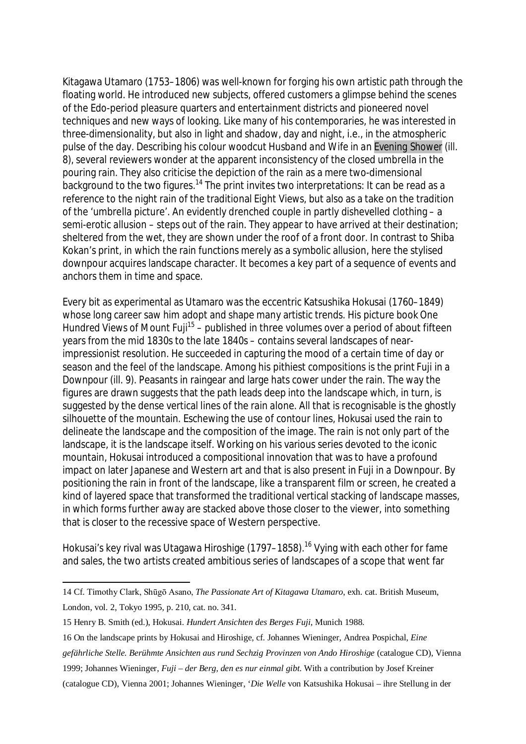Kitagawa Utamaro (1753–1806) was well-known for forging his own artistic path through the floating world. He introduced new subjects, offered customers a glimpse behind the scenes of the Edo-period pleasure quarters and entertainment districts and pioneered novel techniques and new ways of looking. Like many of his contemporaries, he was interested in three-dimensionality, but also in light and shadow, day and night, i.e., in the atmospheric pulse of the day. Describing his colour woodcut *Husband and Wife in an Evening Shower* (ill. 8), several reviewers wonder at the apparent inconsistency of the closed umbrella in the pouring rain. They also criticise the depiction of the rain as a mere two-dimensional background to the two figures.<sup>14</sup> The print invites two interpretations: It can be read as a reference to the night rain of the traditional *Eight Views*, but also as a take on the tradition of the 'umbrella picture'. An evidently drenched couple in partly dishevelled clothing – a semi-erotic allusion – steps out of the rain. They appear to have arrived at their destination; sheltered from the wet, they are shown under the roof of a front door. In contrast to Shiba Kokan's print, in which the rain functions merely as a symbolic allusion, here the stylised downpour acquires landscape character. It becomes a key part of a sequence of events and anchors them in time and space.

Every bit as experimental as Utamaro was the eccentric Katsushika Hokusai (1760–1849) whose long career saw him adopt and shape many artistic trends. His picture book *One*  Hundred Views of Mount Fuji<sup>15</sup> – published in three volumes over a period of about fifteen years from the mid 1830s to the late 1840s – contains several landscapes of nearimpressionist resolution. He succeeded in capturing the mood of a certain time of day or season and the feel of the landscape. Among his pithiest compositions is the print *Fuji in a Downpour* (ill. 9). Peasants in raingear and large hats cower under the rain. The way the figures are drawn suggests that the path leads deep into the landscape which, in turn, is suggested by the dense vertical lines of the rain alone. All that is recognisable is the ghostly silhouette of the mountain. Eschewing the use of contour lines, Hokusai used the rain to delineate the landscape and the composition of the image. The rain is not only part of the landscape, it is the landscape itself. Working on his various series devoted to the iconic mountain, Hokusai introduced a compositional innovation that was to have a profound impact on later Japanese and Western art and that is also present in *Fuji in a Downpour*. By positioning the rain in front of the landscape, like a transparent film or screen, he created a kind of layered space that transformed the traditional vertical stacking of landscape masses, in which forms further away are stacked above those closer to the viewer, into something that is closer to the recessive space of Western perspective.

Hokusai's key rival was Utagawa Hiroshige (1797–1858).<sup>16</sup> Vying with each other for fame and sales, the two artists created ambitious series of landscapes of a scope that went far

 $\overline{a}$ 

<sup>14</sup> Cf. Timothy Clark, Shūgō Asano, *The Passionate Art of Kitagawa Utamaro*, exh. cat. British Museum, London, vol. 2, Tokyo 1995, p. 210, cat. no. 341.

<sup>15</sup> Henry B. Smith (ed.), Hokusai. *Hundert Ansichten des Berges Fuji*, Munich 1988.

<sup>16</sup> On the landscape prints by Hokusai and Hiroshige, cf. Johannes Wieninger, Andrea Pospichal, *Eine gefährliche Stelle. Berühmte Ansichten aus rund Sechzig Provinzen von Ando Hiroshige* (catalogue CD), Vienna 1999; Johannes Wieninger, *Fuji – der Berg, den es nur einmal gibt*. With a contribution by Josef Kreiner (catalogue CD), Vienna 2001; Johannes Wieninger, '*Die Welle* von Katsushika Hokusai – ihre Stellung in der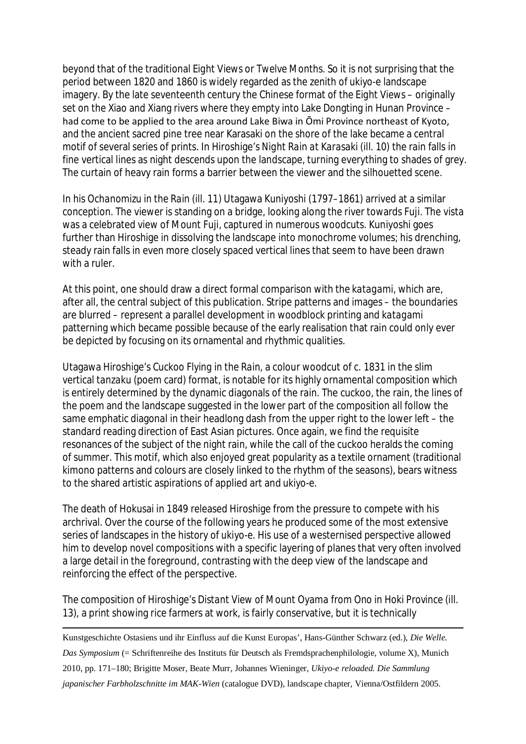beyond that of the traditional *Eight Views* or *Twelve Months*. So it is not surprising that the period between 1820 and 1860 is widely regarded as the zenith of *ukiyo-e* landscape imagery. By the late seventeenth century the Chinese format of the *Eight Views* – originally set on the Xiao and Xiang rivers where they empty into Lake Dongting in Hunan Province – had come to be applied to the area around Lake Biwa in Ōmi Province northeast of Kyoto, and the ancient sacred pine tree near Karasaki on the shore of the lake became a central motif of several series of prints. In Hiroshige's *Night Rain at Karasaki* (ill. 10) the rain falls in fine vertical lines as night descends upon the landscape, turning everything to shades of grey. The curtain of heavy rain forms a barrier between the viewer and the silhouetted scene.

In his *Ochanomizu in the Rain* (ill. 11) Utagawa Kuniyoshi (1797*–*1861) arrived at a similar conception. The viewer is standing on a bridge, looking along the river towards Fuji. The vista was a celebrated view of Mount Fuji, captured in numerous woodcuts. Kuniyoshi goes further than Hiroshige in dissolving the landscape into monochrome volumes; his drenching, steady rain falls in even more closely spaced vertical lines that seem to have been drawn with a ruler.

At this point, one should draw a direct formal comparison with the *katagami*, which are, after all, the central subject of this publication. Stripe patterns and images – the boundaries are blurred – represent a parallel development in woodblock printing and *katagami* patterning which became possible because of the early realisation that rain could only ever be depicted by focusing on its ornamental and rhythmic qualities.

Utagawa Hiroshige's *Cuckoo Flying in the Rain*, a colour woodcut of c. 1831 in the slim vertical *tanzaku* (poem card) format, is notable for its highly ornamental composition which is entirely determined by the dynamic diagonals of the rain. The cuckoo, the rain, the lines of the poem and the landscape suggested in the lower part of the composition all follow the same emphatic diagonal in their headlong dash from the upper right to the lower left – the standard reading direction of East Asian pictures. Once again, we find the requisite resonances of the subject of the night rain, while the call of the cuckoo heralds the coming of summer. This motif, which also enjoyed great popularity as a textile ornament (traditional *kimono* patterns and colours are closely linked to the rhythm of the seasons), bears witness to the shared artistic aspirations of applied art and *ukiyo-e*.

The death of Hokusai in 1849 released Hiroshige from the pressure to compete with his archrival. Over the course of the following years he produced some of the most extensive series of landscapes in the history of *ukiyo-e*. His use of a westernised perspective allowed him to develop novel compositions with a specific layering of planes that very often involved a large detail in the foreground, contrasting with the deep view of the landscape and reinforcing the effect of the perspective.

The composition of Hiroshige's *Distant View of Mount Oyama from Ono in Hoki Province* (ill. 13), a print showing rice farmers at work, is fairly conservative, but it is technically

-Kunstgeschichte Ostasiens und ihr Einfluss auf die Kunst Europas', Hans-Günther Schwarz (ed.), *Die Welle. Das Symposium* (= Schriftenreihe des Instituts für Deutsch als Fremdsprachenphilologie, volume X), Munich 2010, pp. 171–180; Brigitte Moser, Beate Murr, Johannes Wieninger, *Ukiyo-e reloaded. Die Sammlung japanischer Farbholzschnitte im MAK-Wien* (catalogue DVD), landscape chapter, Vienna/Ostfildern 2005.